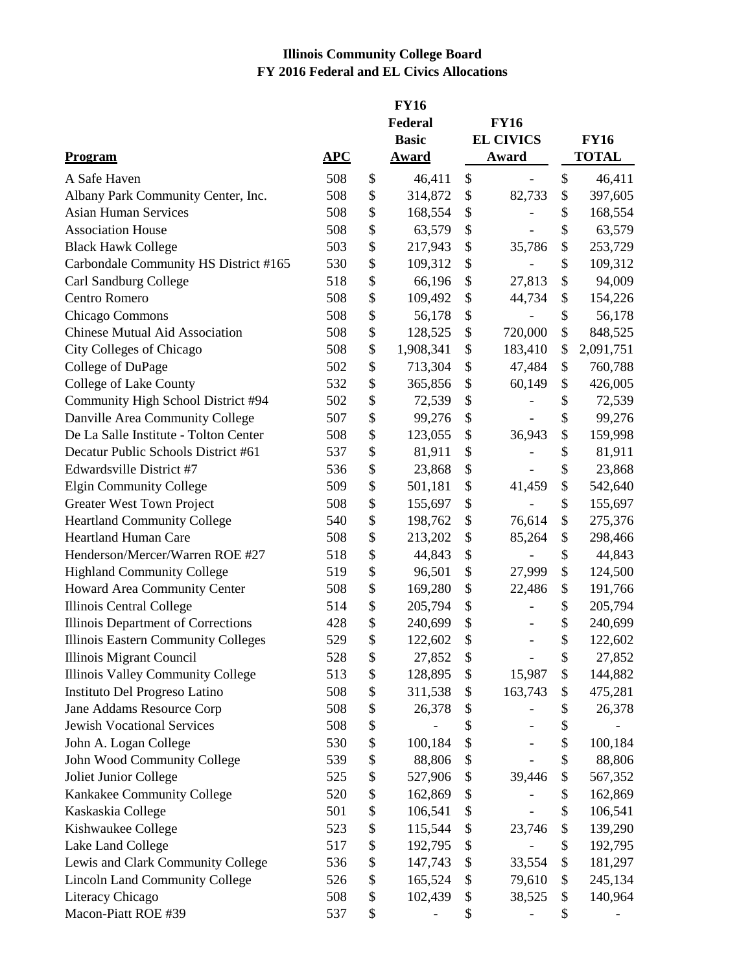## **Illinois Community College Board FY 2016 Federal and EL Civics Allocations**

|                                       |                        | <b>FY16</b><br>Federal |    | <b>FY16</b>              |    |              |
|---------------------------------------|------------------------|------------------------|----|--------------------------|----|--------------|
|                                       |                        | <b>Basic</b>           |    | <b>EL CIVICS</b>         |    | <b>FY16</b>  |
| <b>Program</b>                        | $\bf{A} \bf{P} \bf{C}$ | <b>Award</b>           |    | Award                    |    | <b>TOTAL</b> |
| A Safe Haven                          | 508                    | \$<br>46,411           | \$ |                          | \$ | 46,411       |
| Albany Park Community Center, Inc.    | 508                    | \$<br>314,872          | \$ | 82,733                   | \$ | 397,605      |
| <b>Asian Human Services</b>           | 508                    | \$<br>168,554          | \$ |                          | \$ | 168,554      |
| <b>Association House</b>              | 508                    | \$<br>63,579           | \$ |                          | \$ | 63,579       |
| <b>Black Hawk College</b>             | 503                    | \$<br>217,943          | \$ | 35,786                   | \$ | 253,729      |
| Carbondale Community HS District #165 | 530                    | \$<br>109,312          | \$ |                          | \$ | 109,312      |
| Carl Sandburg College                 | 518                    | \$<br>66,196           | \$ | 27,813                   | \$ | 94,009       |
| Centro Romero                         | 508                    | \$<br>109,492          | \$ | 44,734                   | \$ | 154,226      |
| Chicago Commons                       | 508                    | \$<br>56,178           | \$ |                          | \$ | 56,178       |
| <b>Chinese Mutual Aid Association</b> | 508                    | \$<br>128,525          | \$ | 720,000                  | \$ | 848,525      |
| City Colleges of Chicago              | 508                    | \$<br>1,908,341        | \$ | 183,410                  | \$ | 2,091,751    |
| College of DuPage                     | 502                    | \$<br>713,304          | \$ | 47,484                   | \$ | 760,788      |
| <b>College of Lake County</b>         | 532                    | \$<br>365,856          | \$ | 60,149                   | \$ | 426,005      |
| Community High School District #94    | 502                    | \$<br>72,539           | \$ |                          | \$ | 72,539       |
| Danville Area Community College       | 507                    | \$<br>99,276           | \$ |                          | \$ | 99,276       |
| De La Salle Institute - Tolton Center | 508                    | \$<br>123,055          | \$ | 36,943                   | \$ | 159,998      |
| Decatur Public Schools District #61   | 537                    | \$<br>81,911           | \$ |                          | \$ | 81,911       |
| Edwardsville District #7              | 536                    | \$<br>23,868           | \$ |                          | \$ | 23,868       |
| <b>Elgin Community College</b>        | 509                    | \$<br>501,181          | \$ | 41,459                   | \$ | 542,640      |
| <b>Greater West Town Project</b>      | 508                    | \$<br>155,697          | \$ |                          | \$ | 155,697      |
| <b>Heartland Community College</b>    | 540                    | \$<br>198,762          | \$ | 76,614                   | \$ | 275,376      |
| <b>Heartland Human Care</b>           | 508                    | \$<br>213,202          | \$ | 85,264                   | \$ | 298,466      |
| Henderson/Mercer/Warren ROE #27       | 518                    | \$<br>44,843           | \$ |                          | \$ | 44,843       |
| <b>Highland Community College</b>     | 519                    | \$<br>96,501           | \$ | 27,999                   | \$ | 124,500      |
| Howard Area Community Center          | 508                    | \$<br>169,280          | \$ | 22,486                   | \$ | 191,766      |
| Illinois Central College              | 514                    | \$<br>205,794          | \$ |                          | \$ | 205,794      |
| Illinois Department of Corrections    | 428                    | \$<br>240,699          | \$ |                          | \$ | 240,699      |
| Illinois Eastern Community Colleges   | 529                    | \$<br>122,602          | \$ | $\overline{\phantom{a}}$ | \$ | 122,602      |
| Illinois Migrant Council              | 528                    | \$<br>27,852           | \$ |                          | \$ | 27,852       |
| Illinois Valley Community College     | 513                    | \$<br>128,895          | \$ | 15,987                   | \$ | 144,882      |
| Instituto Del Progreso Latino         | 508                    | \$<br>311,538          | \$ | 163,743                  | \$ | 475,281      |
| Jane Addams Resource Corp             | 508                    | \$<br>26,378           | \$ |                          | \$ | 26,378       |
| <b>Jewish Vocational Services</b>     | 508                    | \$                     | \$ |                          | \$ |              |
| John A. Logan College                 | 530                    | \$<br>100,184          | \$ |                          | \$ | 100,184      |
| John Wood Community College           | 539                    | \$<br>88,806           | \$ |                          | \$ | 88,806       |
| Joliet Junior College                 | 525                    | \$<br>527,906          | \$ | 39,446                   | \$ | 567,352      |
| Kankakee Community College            | 520                    | \$<br>162,869          | \$ |                          | \$ | 162,869      |
| Kaskaskia College                     | 501                    | \$<br>106,541          | \$ |                          | \$ | 106,541      |
| Kishwaukee College                    | 523                    | \$<br>115,544          | \$ | 23,746                   | \$ | 139,290      |
| Lake Land College                     | 517                    | \$<br>192,795          | \$ |                          | \$ | 192,795      |
| Lewis and Clark Community College     | 536                    | \$<br>147,743          | \$ | 33,554                   | \$ | 181,297      |
| <b>Lincoln Land Community College</b> | 526                    | \$<br>165,524          | \$ | 79,610                   | \$ | 245,134      |
| Literacy Chicago                      | 508                    | \$<br>102,439          | \$ | 38,525                   | \$ | 140,964      |
| Macon-Piatt ROE #39                   | 537                    | \$                     | \$ |                          | \$ |              |
|                                       |                        |                        |    |                          |    |              |